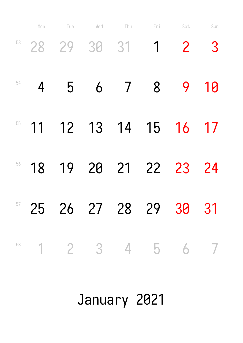|    | Mon            | Tue | Wed                | Thu | Fri                  | Sat                     | Sun  |
|----|----------------|-----|--------------------|-----|----------------------|-------------------------|------|
|    |                |     | $53$ 28 29 30 31 1 |     |                      | $\overline{\mathbf{c}}$ | 3    |
| 54 | $\overline{4}$ | 5   | 6                  |     | 7 8                  |                         | 9 10 |
| 55 |                |     |                    |     | 11 12 13 14 15 16    |                         | 17   |
| 56 | 18             |     |                    |     | 19 20 21 22 23       |                         | 24   |
|    |                |     |                    |     | 25 26 27 28 29 30 31 |                         |      |
|    |                |     |                    |     | 1 2 3 4 5 6 7        |                         |      |

January 2021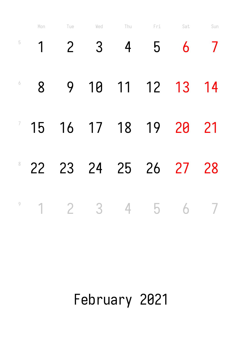|                | Mon | Tue            | Wed                     | Thu            | Fri      | Sat | Sun            |
|----------------|-----|----------------|-------------------------|----------------|----------|-----|----------------|
| $\overline{5}$ | 1   | $\overline{2}$ | 3                       | $\overline{4}$ | 5        | 6   |                |
| $\sqrt{2}$     | 8   | 9              |                         |                | 10 11 12 | 13  | 14             |
|                | 15  |                | 16 17 18 19             |                |          | 20  | 21             |
| $8 -$          | 22  | 23             | 24 25 26                |                |          | 27  | 28             |
| $\overline{9}$ |     | $\overline{2}$ | $\overline{\mathbf{3}}$ |                | 4 5      |     | $\overline{7}$ |

### February 2021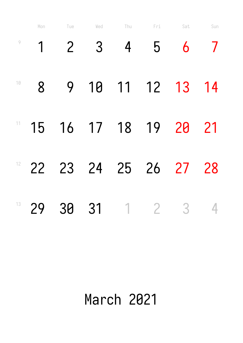|        | Mon | Tue            | Wed         | Thu            | Fri        | Sat                      | Sun |
|--------|-----|----------------|-------------|----------------|------------|--------------------------|-----|
| $\,9$  |     | $\overline{2}$ | 3           | $\overline{4}$ | 5          | 6                        |     |
| $1\,$  | 8   | 9              | 10          |                | 11 12      | 13                       | 14  |
| 11     | 15  |                | 16 17 18 19 |                |            | 20                       | 21  |
| 12     | 22  |                | 23 24       |                | 25 26      | 27                       | 28  |
| $13 -$ | 29  | 30             | 31          |                | $1\quad 2$ | $\overline{\phantom{a}}$ | 4   |

# March 2021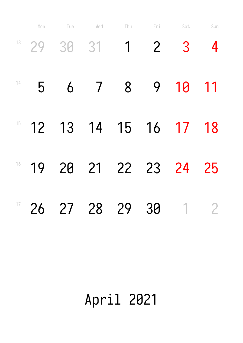|    | Mon     | Tue | Wed            | Thu         | Fri            | Sat | Sun            |
|----|---------|-----|----------------|-------------|----------------|-----|----------------|
|    | $13$ 29 | 30  | 31             | $\mathbf 1$ | $\overline{2}$ | 3   | 4              |
| 14 | 5       | 6   | $\overline{7}$ | 8           | 9              | 10  | 11             |
| 15 | 12      |     | 13 14 15 16    |             |                | 17  | 18             |
| 16 | 19      |     | 20 21 22 23    |             |                | 24  | 25             |
| 17 | 26      |     | 27 28          | 29          | 30             |     | $\overline{2}$ |

# April 2021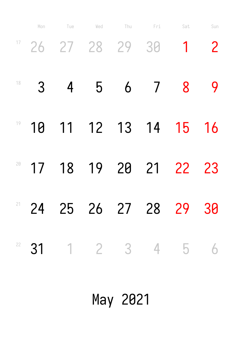|    | Mon            | Tue | Wed | Thu Fri |                     | Sat                       | Sun            |
|----|----------------|-----|-----|---------|---------------------|---------------------------|----------------|
|    |                |     |     |         | $17$ 26 27 28 29 30 |                           | $\overline{2}$ |
| 18 | 3 <sup>2</sup> |     |     |         | 4 5 6 7             | 8                         |                |
|    |                |     |     |         |                     | $19$ 10 11 12 13 14 15 16 |                |
| 20 |                |     |     |         |                     | 17 18 19 20 21 22 23      |                |
|    |                |     |     |         |                     | 24 25 26 27 28 29 30      |                |
| 22 |                |     |     |         |                     | 31 1 2 3 4 5 6            |                |

May 2021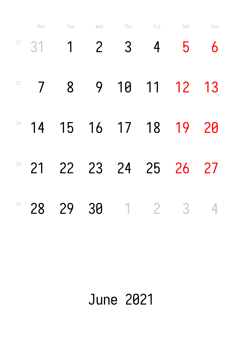|    | Mon                      | Tue         | Wed            | Thu | Fri         | Sat                      | Sun |
|----|--------------------------|-------------|----------------|-----|-------------|--------------------------|-----|
| 22 | 31                       | $\mathbf 1$ | $\overline{2}$ | 3   | 4           | 5                        | 6   |
| 23 | $\overline{\phantom{a}}$ | 8           | 9              | 10  | 11          | <b>12</b>                | 13  |
| 24 | 14                       |             | 15 16 17 18    |     |             | 19                       | 20  |
| 25 | 21                       |             | 22 23 24       |     |             | 25 26                    | 27  |
| 26 | 28                       | 29          | 30             |     | $1 \quad 2$ | $\overline{\phantom{a}}$ | 4   |

### June 2021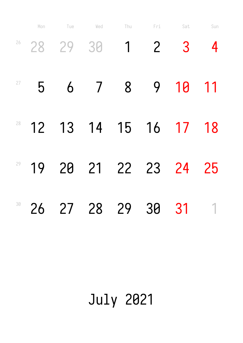|    | Mon | Tue | Wed            | Thu            | Fri            | Sat | Sun         |
|----|-----|-----|----------------|----------------|----------------|-----|-------------|
|    |     |     | $28$ 29 30     | $\mathbf 1$    | $\overline{2}$ | 3   | 4           |
| 27 | 5   | 6   | $\overline{7}$ | 8 <sup>8</sup> | 9              | 10  | 11          |
| 28 | 12  |     | 13 14 15 16 17 |                |                |     | 18          |
| 29 | 19  |     | 20 21 22 23 24 |                |                |     | 25          |
| 30 | 26  |     | 27 28          | 29             | 30 31          |     | $\mathbf 1$ |

## July 2021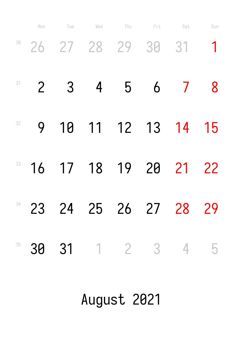|    | Mon            | Tue            | Wed                  | Thu Fri Sat |                         | Sun         |
|----|----------------|----------------|----------------------|-------------|-------------------------|-------------|
|    |                |                | 38 26 27 28 29 30 31 |             |                         | $\mathbf 1$ |
| 31 | $\overline{2}$ | 3 <sup>2</sup> | $\overline{4}$       | 5 6 7       |                         | 8           |
| 32 | 9              |                |                      |             | 10 11 12 13 14          | 15          |
| 33 |                |                |                      |             | 16 17 18 19 20 21       | 22          |
|    |                |                |                      |             | 34 23 24 25 26 27 28 29 |             |
| 35 |                |                |                      |             | 30 31 1 2 3 4 5         |             |

August 2021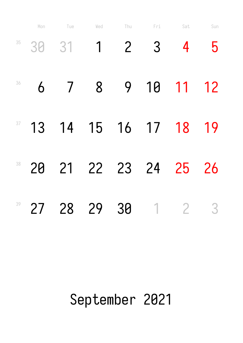|    | Mon | Tue                      | Wed            | Thu            | Fri            | Sat            | Sun |
|----|-----|--------------------------|----------------|----------------|----------------|----------------|-----|
| 35 | 30  | 31                       | $\overline{1}$ | 2 <sup>1</sup> | $\overline{3}$ | 4              | 5   |
| 36 | 6   | $\overline{\phantom{a}}$ | 8              | 9              | 10             | 11             | 12  |
| 37 | 13  |                          | 14 15 16 17    |                |                | 18             | 19  |
| 38 | 20  | 21                       | 22 23 24       |                |                | 25             | 26  |
| 39 | 27  | 28                       | 29             | 30             | $\overline{1}$ | $\overline{2}$ | 3   |

#### September 2021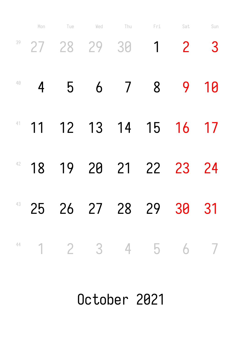|    | Mon            | Tue | Wed                | Thu | Fri                         | Sat                        | Sun |
|----|----------------|-----|--------------------|-----|-----------------------------|----------------------------|-----|
|    |                |     | $39$ 27 28 29 30 1 |     |                             | $\overline{\phantom{0}}^2$ | 3   |
| 40 | $\overline{4}$ | 5   | 6                  |     | 7 8 9 10                    |                            |     |
|    |                |     |                    |     | $11$ 12 13 14 15 16         |                            | 17  |
| 42 |                |     |                    |     | 18 19 20 21 22 23           |                            | 24  |
|    |                |     |                    |     | 48 25 26 27 28 29 30 31     |                            |     |
|    |                |     |                    |     | $1 \t2 \t3 \t4 \t5 \t6 \t7$ |                            |     |

October 2021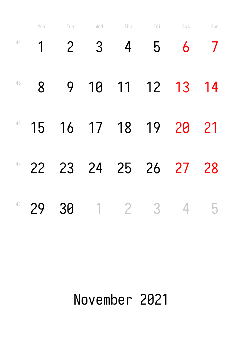|    | Mon | Tue            | Wed              | Thu            | Fri                     | Sat | Sun |
|----|-----|----------------|------------------|----------------|-------------------------|-----|-----|
| 44 | 1   | $\overline{2}$ | 3                | 4              | 5                       | 6   |     |
| 45 | 8   | 9              | 10               |                | 11 12                   | 13  | 14  |
| 46 | 15  | 16             |                  | 17 18          | 19                      | 20  | 21  |
| 47 | 22  |                | 23 24            |                | 25 26                   | 27  | 28  |
| 48 | 29  | 30             | $\left  \right $ | $\overline{2}$ | $\overline{\mathbf{3}}$ | 4   | 5   |

### November 2021